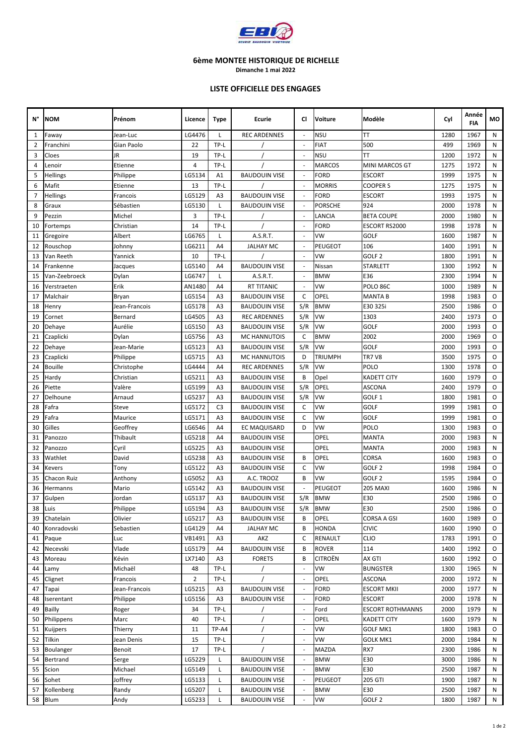

**Dimanche 1 mai 2022**

#### **LISTE OFFICIELLE DES ENGAGES**

| N°             | <b>NOM</b>     | Prénom                                                               | Licence        | <b>Type</b>          | Ecurie               | CI                       | <b>Voiture</b> | Modèle                  | Cyl  | Année<br><b>FIA</b> | МO |
|----------------|----------------|----------------------------------------------------------------------|----------------|----------------------|----------------------|--------------------------|----------------|-------------------------|------|---------------------|----|
| 1              | Faway          | Jean-Luc                                                             | LG4476         | L                    | <b>REC ARDENNES</b>  | $\overline{\phantom{a}}$ | NSU            | TT                      | 1280 | 1967                | N  |
| 2              | Franchini      | Gian Paolo                                                           | 22             | TP-L                 |                      | $\sim$                   | FIAT           | 500                     | 499  | 1969                | N  |
| 3              | Cloes          | JR                                                                   | 19             | TP-L                 |                      | ÷,                       | NSU            | ТT                      | 1200 | 1972                | N  |
| 4              | Lenoir         | Etienne                                                              | 4              | TP-L                 |                      |                          | MARCOS         | MINI MARCOS GT          | 1275 | 1972                | N  |
| 5              | Hellings       | Philippe                                                             | LG5134         | A1                   | <b>BAUDOUIN VISE</b> |                          | FORD           | <b>ESCORT</b>           | 1999 | 1975                | N  |
| 6              | Mafit          | Etienne                                                              | 13             | TP-L                 |                      |                          | <b>MORRIS</b>  | COOPER S                | 1275 | 1975                | N  |
| $\overline{7}$ | Hellings       | Francois                                                             | LG5129         | A3                   | <b>BAUDOUIN VISE</b> | $\sim$                   | FORD           | <b>ESCORT</b>           | 1993 | 1975                | N  |
| 8              | Graux          | Sébastien                                                            | LG5130         | L                    | <b>BAUDOUIN VISE</b> | $\overline{\phantom{a}}$ | PORSCHE        | 924                     | 2000 | 1978                | N  |
| 9              | Pezzin         | Michel                                                               | 3              | TP-L                 |                      | ä,                       | LANCIA         | <b>BETA COUPE</b>       | 2000 | 1980                | N  |
| 10             | Fortemps       | Christian                                                            | 14             | TP-L                 |                      | $\overline{\phantom{a}}$ | FORD           | ESCORT RS2000           | 1998 | 1978                | N  |
| 11             | Gregoire       | Albert                                                               | LG6765         | L                    | A.S.R.T.             | $\overline{\phantom{a}}$ | VW             | <b>GOLF</b>             | 1600 | 1987                | N  |
| 12             | Rouschop       | Johnny                                                               | LG6211         | A4                   | <b>JALHAY MC</b>     |                          | PEUGEOT        | 106                     | 1400 | 1991                | N  |
| 13             | Van Reeth      | Yannick                                                              | 10             | TP-L                 |                      |                          | VW             | GOLF <sub>2</sub>       | 1800 | 1991                | N  |
| 14             | Frankenne      | Jacques                                                              | LG5140         | A4                   | <b>BAUDOUIN VISE</b> |                          | Nissan         | STARLETT                | 1300 | 1992                | N  |
| 15             | Van-Zeebroeck  | Dylan                                                                | LG6747         | L                    | A.S.R.T.             |                          | <b>BMW</b>     | E36                     | 2300 | 1994                | N  |
| 16             | Verstraeten    | Erik                                                                 | AN1480         | A4                   | <b>RT TITANIC</b>    |                          | VW             | POLO 86C                | 1000 | 1989                | N  |
| 17             | Malchair       | Bryan                                                                | LG5154         | A3                   | <b>BAUDOUIN VISE</b> | C                        | OPEL           | <b>MANTA B</b>          | 1998 | 1983                | O  |
| 18             | Henry          | Jean-Francois                                                        | LG5178         | A3                   | <b>BAUDOUIN VISE</b> | S/R                      | <b>BMW</b>     | E30 325i                | 2500 | 1986                | 0  |
| 19             | Cornet         | Bernard                                                              | LG4505         | A3                   | <b>REC ARDENNES</b>  | S/R                      | VW             | 1303                    | 2400 | 1973                | O  |
| 20             | Dehaye         | Aurélie                                                              | LG5150         | A3                   | <b>BAUDOUIN VISE</b> | S/R                      | VW             | GOLF                    | 2000 | 1993                | O  |
| 21             | Czaplicki      | Dylan                                                                | LG5756         | A3                   | <b>MC HANNUTOIS</b>  | C                        | <b>BMW</b>     | 2002                    | 2000 | 1969                | 0  |
| 22             | Dehaye         | Jean-Marie                                                           | LG5123         | A3                   | <b>BAUDOUIN VISE</b> | S/R                      | VW             | GOLF                    | 2000 | 1993                | 0  |
| 23             | Czaplicki      | Philippe                                                             | LG5715         | A3                   | <b>MC HANNUTOIS</b>  | D                        | TRIUMPH        | <b>TR7 V8</b>           | 3500 | 1975                | 0  |
| 24             | <b>Bouille</b> | Christophe                                                           | LG4444         | A4                   | <b>REC ARDENNES</b>  | S/R                      | VW             | POLO                    | 1300 | 1978                | 0  |
| 25             | Hardy          | Christian                                                            | LG5211         | A3                   | <b>BAUDOUIN VISE</b> | B                        | Opel           | KADETT CITY             | 1600 | 1979                | O  |
| 26             | Piette         | LG5199<br>A3<br>Valère                                               |                | <b>BAUDOUIN VISE</b> | S/R                  | OPEL                     | <b>ASCONA</b>  | 2400                    | 1979 | O                   |    |
| 27             | Delhoune       | S/R<br>VW<br>Arnaud<br>LG5237<br>A3<br><b>BAUDOUIN VISE</b>          |                | GOLF 1               | 1800                 | 1981                     | O              |                         |      |                     |    |
| 28             | Fafra          | LG5172<br>C <sub>3</sub><br>C<br>VW<br>Steve<br><b>BAUDOUIN VISE</b> |                | GOLF                 | 1999                 | 1981                     | O              |                         |      |                     |    |
| 29             | Fafra          | Maurice                                                              | LG5171         | A3                   | <b>BAUDOUIN VISE</b> | C                        | VW             | GOLF                    | 1999 | 1981                | 0  |
| 30             | Gilles         | Geoffrey                                                             | LG6546         | A4                   | EC MAQUISARD         | D                        | VW             | POLO                    | 1300 | 1983                | O  |
| 31             | Panozzo        | Thibault                                                             | LG5218         | A4                   | <b>BAUDOUIN VISE</b> |                          | OPEL           | <b>MANTA</b>            | 2000 | 1983                | N  |
| 32             | Panozzo        | Cyril                                                                | LG5225         | A3                   | <b>BAUDOUIN VISE</b> |                          | OPEL           | <b>MANTA</b>            | 2000 | 1983                | N  |
| 33             | Wathlet        | David                                                                | LG5238         | A3                   | <b>BAUDOUIN VISE</b> | B                        | OPEL           | CORSA                   | 1600 | 1983                | 0  |
| 34             | Kevers         | Tony                                                                 | LG5122         | A3                   | <b>BAUDOUIN VISE</b> | C                        | VW             | GOLF <sub>2</sub>       | 1998 | 1984                | 0  |
| 35             | Chacon Ruiz    | Anthony                                                              | LG5052         | A3                   | A.C. TROOZ           | B                        | VW             | GOLF <sub>2</sub>       | 1595 | 1984                | O  |
| 36             | Hermanns       | Mario                                                                | LG5142         | A3                   | <b>BAUDOUIN VISE</b> |                          | PEUGEOT        | <b>205 MAXI</b>         | 1600 | 1986                | N  |
| 37             | Gulpen         | Jordan                                                               | LG5137         | A3                   | <b>BAUDOUIN VISE</b> | S/R                      | <b>BMW</b>     | E30                     | 2500 | 1986                | 0  |
| 38             | Luis           | Philippe                                                             | LG5194         | A3                   | <b>BAUDOUIN VISE</b> | S/R                      | <b>BMW</b>     | E30                     | 2500 | 1986                | 0  |
| 39             | Chatelain      | Olivier                                                              | LG5217         | A3                   | <b>BAUDOUIN VISE</b> | B                        | OPEL           | CORSA A GSI             | 1600 | 1989                | 0  |
| 40             | Konradovski    | Sebastien                                                            | LG4129         | A4                   | <b>JALHAY MC</b>     | B                        | HONDA          | <b>CIVIC</b>            | 1600 | 1990                | O  |
| 41             | Paque          | Luc                                                                  | VB1491         | A3                   | AKZ                  | C                        | RENAULT        | <b>CLIO</b>             | 1783 | 1991                | O  |
| 42             | Necevski       | Vlade                                                                | LG5179         | A4                   | <b>BAUDOUIN VISE</b> | B                        | ROVER          | 114                     | 1400 | 1992                | 0  |
| 43             | Moreau         | Kévin                                                                | LX7140         | A3                   | <b>FORETS</b>        | B                        | CITROËN        | AX GTI                  | 1600 | 1992                | 0  |
| 44             | Lamy           | Michaël                                                              | 48             | TP-L                 |                      | $\overline{\phantom{a}}$ | VW             | <b>BUNGSTER</b>         | 1300 | 1965                | Ν  |
| 45             | Clignet        | Francois                                                             | $\overline{2}$ | TP-L                 |                      |                          | OPEL           | <b>ASCONA</b>           | 2000 | 1972                | Ν  |
| 47             | Tapai          | Jean-Francois                                                        | LG5215         | A3                   | <b>BAUDOUIN VISE</b> |                          | FORD           | <b>ESCORT MKII</b>      | 2000 | 1977                | Ν  |
| 48             | Iserentant     | Philippe                                                             | LG5156         | A3                   | <b>BAUDOUIN VISE</b> | ÷,                       | FORD           | <b>ESCORT</b>           | 2000 | 1978                | Ν  |
| 49             | <b>Bailly</b>  | Roger                                                                | 34             | TP-L                 |                      |                          | Ford           | <b>ESCORT ROTHMANNS</b> | 2000 | 1979                | Ν  |
| 50             | Philippens     | Marc                                                                 | 40             | TP-L                 |                      | $\overline{\phantom{a}}$ | OPEL           | <b>KADETT CITY</b>      | 1600 | 1979                | N  |
| 51             | Kuijpers       | Thierry                                                              | 11             | TP-A4                |                      | ÷,                       | VW             | GOLF MK1                | 1800 | 1983                | 0  |
| 52             | Tilkin         | Jean Denis                                                           | 15             | TP-L                 |                      | $\overline{\phantom{a}}$ | VW             | GOLK MK1                | 2000 | 1984                | N  |
| 53             | Boulanger      | Benoit                                                               | 17             | TP-L                 |                      | ÷,                       | MAZDA          | RX7                     | 2300 | 1986                | Ν  |
| 54             | Bertrand       | Serge                                                                | LG5229         | L                    | <b>BAUDOUIN VISE</b> |                          | <b>BMW</b>     | E30                     | 3000 | 1986                | Ν  |
| 55             | Scion          | Michael                                                              | LG5149         | L                    | <b>BAUDOUIN VISE</b> | $\overline{\phantom{a}}$ | <b>BMW</b>     | E30                     | 2500 | 1987                | Ν  |
| 56             | Sohet          | Joffrey                                                              | LG5133         | L                    | <b>BAUDOUIN VISE</b> |                          | PEUGEOT        | 205 GTI                 | 1900 | 1987                | Ν  |
| 57             | Kollenberg     | Randy                                                                | LG5207         | L                    | <b>BAUDOUIN VISE</b> |                          | <b>BMW</b>     | E30                     | 2500 | 1987                | Ν  |
| 58             | Blum           | Andy                                                                 | LG5233         | L                    | <b>BAUDOUIN VISE</b> |                          | VW             | GOLF <sub>2</sub>       | 1800 | 1987                | Ν  |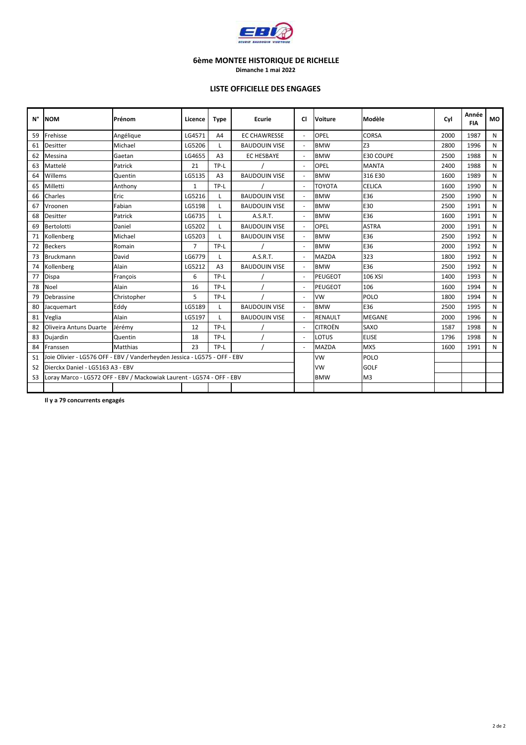

**Dimanche 1 mai 2022**

#### **LISTE OFFICIELLE DES ENGAGES**

| N°             | <b>NOM</b>                       | Prénom                                                                    | Licence        | <b>Type</b>    | Ecurie               | CI             | Voiture           | Modèle         | Cvl  | Année<br><b>FIA</b> | <b>MO</b> |
|----------------|----------------------------------|---------------------------------------------------------------------------|----------------|----------------|----------------------|----------------|-------------------|----------------|------|---------------------|-----------|
| 59             | Frehisse                         | Angélique                                                                 | LG4571         | A4             | <b>EC CHAWRESSE</b>  |                | OPEL              | <b>CORSA</b>   | 2000 | 1987                | N         |
| 61             | <b>Desitter</b>                  | Michael                                                                   | LG5206         | $\mathsf{L}$   | <b>BAUDOUIN VISE</b> |                | <b>BMW</b>        | Z <sub>3</sub> | 2800 | 1996                | N         |
| 62             | Messina                          | Gaetan                                                                    | LG4655         | A <sub>3</sub> | <b>EC HESBAYE</b>    | ÷.             | <b>BMW</b>        | E30 COUPE      | 2500 | 1988                | N         |
| 63             | Mattelé                          | Patrick                                                                   | 21             | TP-L           |                      |                | OPEL              | <b>MANTA</b>   | 2400 | 1988                | N         |
| 64             | Willems                          | Quentin                                                                   | LG5135         | A <sub>3</sub> | <b>BAUDOUIN VISE</b> |                | <b>BMW</b>        | 316 E30        | 1600 | 1989                | N         |
| 65             | Milletti                         | Anthony                                                                   | $\mathbf{1}$   | TP-L           |                      |                | ΤΟΥΟΤΑ            | <b>CELICA</b>  | 1600 | 1990                | N         |
| 66             | Charles                          | Eric                                                                      | LG5216         | L              | <b>BAUDOUIN VISE</b> |                | <b>BMW</b>        | E36            | 2500 | 1990                | N         |
| 67             | Vroonen                          | Fabian                                                                    | LG5198         | L              | <b>BAUDOUIN VISE</b> | ÷,             | <b>BMW</b><br>E30 |                | 2500 | 1991                | N         |
| 68             | Desitter                         | Patrick                                                                   | LG6735         | L              | A.S.R.T.             |                | <b>BMW</b>        | E36            | 1600 | 1991                | N         |
| 69             | <b>Bertolotti</b>                | Daniel                                                                    | LG5202         | L              | <b>BAUDOUIN VISE</b> |                | OPEL              | <b>ASTRA</b>   | 2000 | 1991                | N         |
| 71             | Kollenberg                       | Michael                                                                   | LG5203         | L              | <b>BAUDOUIN VISE</b> | ÷,             | <b>BMW</b>        | E36            | 2500 | 1992                | N         |
| 72             | <b>Beckers</b>                   | Romain                                                                    | $\overline{7}$ | TP-L           |                      |                | <b>BMW</b>        | E36            | 2000 | 1992                | N         |
| 73             | <b>Bruckmann</b>                 | David                                                                     | LG6779<br>L    |                | A.S.R.T.             |                | <b>MAZDA</b>      | 323            | 1800 | 1992                | N         |
| 74             | Kollenberg                       | Alain                                                                     | LG5212         | A <sub>3</sub> | <b>BAUDOUIN VISE</b> | $\overline{a}$ | <b>BMW</b>        | E36            | 2500 | 1992                | N         |
| 77             | Dispa                            | François                                                                  | 6              | TP-L           |                      |                | <b>PEUGEOT</b>    | 106 XSI        | 1400 | 1993                | N         |
| 78             | Noel                             | Alain                                                                     | 16             | TP-L           |                      | ä,             | <b>PEUGEOT</b>    | 106            | 1600 | 1994                | N         |
| 79             | Debrassine                       | Christopher                                                               | 5              | TP-L           |                      | ÷,             | <b>VW</b>         | <b>POLO</b>    | 1800 | 1994                | N         |
| 80             | Jacquemart                       | Eddy                                                                      | LG5189         | L              | <b>BAUDOUIN VISE</b> |                | <b>BMW</b>        | E36            | 2500 | 1995                | N         |
| 81             | Veglia                           | Alain                                                                     | LG5197         | L              | <b>BAUDOUIN VISE</b> |                | <b>RENAULT</b>    | <b>MEGANE</b>  | 2000 | 1996                | N         |
| 82             | Oliveira Antuns Duarte           | Jérémy                                                                    | 12             | TP-L           |                      |                | <b>CITROËN</b>    | SAXO           | 1587 | 1998                | N         |
| 83             | Dujardin                         | Quentin                                                                   | 18             | TP-L           |                      |                | LOTUS             | <b>ELISE</b>   | 1796 | 1998                | N         |
| 84             | Franssen                         | <b>Matthias</b>                                                           | 23             | TP-L           |                      | ÷.             | <b>MAZDA</b>      | MX5            | 1600 | 1991                | N         |
| S <sub>1</sub> |                                  | Joie Olivier - LG576 OFF - EBV / Vanderheyden Jessica - LG575 - OFF - EBV |                |                |                      |                | <b>VW</b>         | POLO           |      |                     |           |
| S <sub>2</sub> | Dierckx Daniel - LG5163 A3 - EBV |                                                                           |                |                |                      | <b>VW</b>      | <b>GOLF</b>       |                |      |                     |           |
| S <sub>3</sub> |                                  | Loray Marco - LG572 OFF - EBV / Mackowiak Laurent - LG574 - OFF - EBV     |                |                |                      | <b>BMW</b>     | M <sub>3</sub>    |                |      |                     |           |
|                |                                  |                                                                           |                |                |                      |                |                   |                |      |                     |           |

**Il y a 79 concurrents engagés**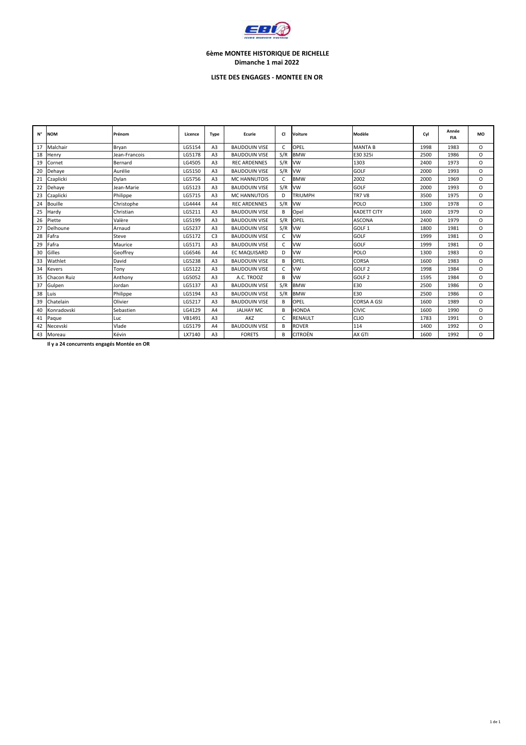

#### **6ème MONTEE HISTORIQUE DE RICHELLE Dimanche 1 mai 2022**

#### **LISTE DES ENGAGES - MONTEE EN OR**

| N° | <b>NOM</b>     | Prénom        | Licence | <b>Type</b>    | Ecurie               | <b>CI</b>  | Voiture           | Modèle             | Cyl  | Année<br><b>FIA</b> | MO       |
|----|----------------|---------------|---------|----------------|----------------------|------------|-------------------|--------------------|------|---------------------|----------|
| 17 | Malchair       | Bryan         | LG5154  | A3             | <b>BAUDOUIN VISE</b> | $\epsilon$ | OPEL              | <b>MANTA B</b>     | 1998 | 1983                | $\Omega$ |
| 18 | Henry          | Jean-Francois | LG5178  | A <sub>3</sub> | <b>BAUDOUIN VISE</b> | S/R        | <b>BMW</b>        | E30 325i           | 2500 | 1986                | $\circ$  |
| 19 | Cornet         | Bernard       | LG4505  | A <sub>3</sub> | <b>REC ARDENNES</b>  | S/R        | <b>VW</b>         | 1303               | 2400 | 1973                | $\Omega$ |
| 20 | Dehaye         | Aurélie       | LG5150  | A3             | <b>BAUDOUIN VISE</b> | S/R        | <b>VW</b>         | <b>GOLF</b>        | 2000 | 1993                | $\circ$  |
| 21 | Czaplicki      | Dylan         | LG5756  | A3             | <b>MC HANNUTOIS</b>  | C          | <b>BMW</b>        | 2002               | 2000 | 1969                | $\Omega$ |
| 22 | Dehaye         | Jean-Marie    | LG5123  | A3             | <b>BAUDOUIN VISE</b> | S/R        | <b>VW</b>         | <b>GOLF</b>        | 2000 | 1993                | $\circ$  |
| 23 | Czaplicki      | Philippe      | LG5715  | A3             | <b>MC HANNUTOIS</b>  | D          | <b>TRIUMPH</b>    | <b>TR7 V8</b>      | 3500 | 1975                | $\circ$  |
| 24 | <b>Bouille</b> | Christophe    | LG4444  | A4             | <b>REC ARDENNES</b>  | S/R        | <b>VW</b><br>POLO |                    | 1300 | 1978                | $\Omega$ |
| 25 | Hardy          | Christian     | LG5211  | A <sub>3</sub> | <b>BAUDOUIN VISE</b> | B          | Opel              | <b>KADETT CITY</b> | 1600 | 1979                | $\circ$  |
| 26 | Piette         | Valère        | LG5199  | A <sub>3</sub> | <b>BAUDOUIN VISE</b> | S/R        | OPEL              | <b>ASCONA</b>      | 2400 | 1979                | $\Omega$ |
| 27 | Delhoune       | Arnaud        | LG5237  | A <sub>3</sub> | <b>BAUDOUIN VISE</b> | S/R        | <b>VW</b>         | GOLF <sub>1</sub>  | 1800 | 1981                | $\Omega$ |
| 28 | Fafra          | Steve         | LG5172  | C <sub>3</sub> | <b>BAUDOUIN VISE</b> | C.         | <b>VW</b>         | <b>GOLF</b>        | 1999 | 1981                | $\Omega$ |
| 29 | Fafra          | Maurice       | LG5171  | A3             | <b>BAUDOUIN VISE</b> | C          | <b>VW</b>         | <b>GOLF</b>        | 1999 | 1981                | $\circ$  |
| 30 | Gilles         | Geoffrey      | LG6546  | A4             | EC MAQUISARD         | D          | <b>VW</b>         | POLO               | 1300 | 1983                | $\Omega$ |
| 33 | Wathlet        | David         | LG5238  | A3             | <b>BAUDOUIN VISE</b> | B          | OPEL              | <b>CORSA</b>       | 1600 | 1983                | $\circ$  |
| 34 | Kevers         | Tony          | LG5122  | A <sub>3</sub> | <b>BAUDOUIN VISE</b> | C          | <b>VW</b>         | GOLF <sub>2</sub>  | 1998 | 1984                | $\circ$  |
| 35 | Chacon Ruiz    | Anthony       | LG5052  | A3             | A.C. TROOZ           | B          | VW                | GOLF <sub>2</sub>  | 1595 | 1984                | $\Omega$ |
| 37 | Gulpen         | Jordan        | LG5137  | A3             | <b>BAUDOUIN VISE</b> | S/R        | <b>BMW</b>        | E30                | 2500 | 1986                | $\Omega$ |
| 38 | Luis           | Philippe      | LG5194  | A <sub>3</sub> | <b>BAUDOUIN VISE</b> | S/R        | <b>BMW</b>        | E30                | 2500 | 1986                | $\Omega$ |
| 39 | Chatelain      | Olivier       | LG5217  | A3             | <b>BAUDOUIN VISE</b> | B          | OPEL              | <b>CORSA A GSI</b> | 1600 | 1989                | $\Omega$ |
| 40 | Konradovski    | Sebastien     | LG4129  | A4             | <b>JALHAY MC</b>     | B          | <b>HONDA</b>      | <b>CIVIC</b>       | 1600 | 1990                | $\Omega$ |
| 41 | Paque          | Luc           | VB1491  | A3             | AKZ                  | $\epsilon$ | <b>RENAULT</b>    | <b>CLIO</b>        | 1783 | 1991                | $\Omega$ |
| 42 | Necevski       | Vlade         | LG5179  | A4             | <b>BAUDOUIN VISE</b> | В          | <b>ROVER</b>      | 114                | 1400 | 1992                | $\circ$  |
|    | 43 Moreau      | Kévin         | LX7140  | A <sub>3</sub> | <b>FORETS</b>        | В          | <b>CITROËN</b>    | AX GTI             | 1600 | 1992                | $\Omega$ |

**Il y a 24 concurrents engagés Montée en OR**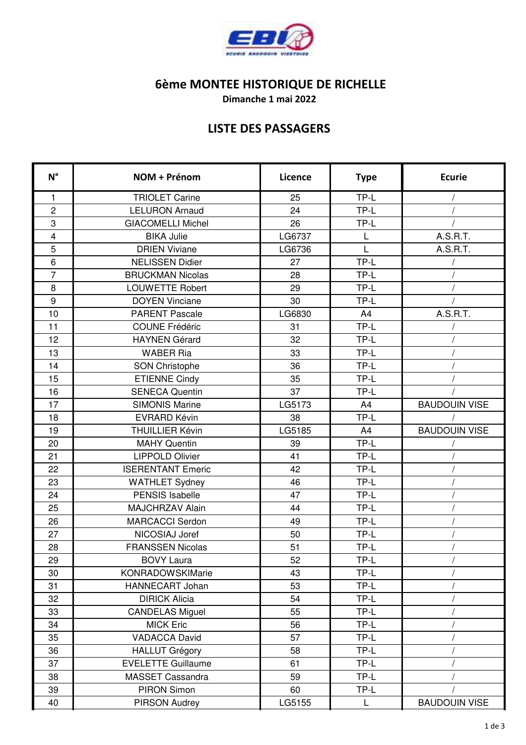

**Dimanche 1 mai 2022**

## **LISTE DES PASSAGERS**

| $N^{\circ}$             | NOM + Prénom              | Licence | <b>Type</b>    | <b>Ecurie</b>        |
|-------------------------|---------------------------|---------|----------------|----------------------|
| $\mathbf{1}$            | <b>TRIOLET Carine</b>     | 25      | TP-L           |                      |
| $\overline{c}$          | <b>LELURON Arnaud</b>     | 24      | TP-L           |                      |
| 3                       | <b>GIACOMELLI Michel</b>  | 26      | TP-L           |                      |
| $\overline{\mathbf{4}}$ | <b>BIKA Julie</b>         | LG6737  | L              | A.S.R.T.             |
| 5                       | <b>DRIEN Viviane</b>      | LG6736  | L              | A.S.R.T.             |
| $6\phantom{1}$          | <b>NELISSEN Didier</b>    | 27      | TP-L           |                      |
| $\overline{7}$          | <b>BRUCKMAN Nicolas</b>   | 28      | TP-L           |                      |
| 8                       | <b>LOUWETTE Robert</b>    | 29      | TP-L           |                      |
| 9                       | <b>DOYEN Vinciane</b>     | 30      | TP-L           |                      |
| 10                      | <b>PARENT Pascale</b>     | LG6830  | A4             | A.S.R.T.             |
| 11                      | <b>COUNE Frédéric</b>     | 31      | TP-L           |                      |
| 12                      | <b>HAYNEN Gérard</b>      | 32      | TP-L           |                      |
| 13                      | <b>WABER Ria</b>          | 33      | TP-L           |                      |
| 14                      | <b>SON Christophe</b>     | 36      | TP-L           |                      |
| 15                      | <b>ETIENNE Cindy</b>      | 35      | TP-L           |                      |
| 16                      | <b>SENECA Quentin</b>     | 37      | TP-L           |                      |
| 17                      | <b>SIMONIS Marine</b>     | LG5173  | A <sub>4</sub> | <b>BAUDOUIN VISE</b> |
| 18                      | <b>EVRARD Kévin</b>       | 38      | TP-L           |                      |
| 19                      | <b>THUILLIER Kévin</b>    | LG5185  | A4             | <b>BAUDOUIN VISE</b> |
| 20                      | <b>MAHY Quentin</b>       | 39      | TP-L           |                      |
| 21                      | <b>LIPPOLD Olivier</b>    | 41      | TP-L           |                      |
| 22                      | <b>ISERENTANT Emeric</b>  | 42      | TP-L           |                      |
| 23                      | <b>WATHLET Sydney</b>     | 46      | TP-L           |                      |
| 24                      | <b>PENSIS Isabelle</b>    | 47      | TP-L           |                      |
| 25                      | MAJCHRZAV Alain           | 44      | TP-L           |                      |
| 26                      | <b>MARCACCI Serdon</b>    | 49      | TP-L           |                      |
| 27                      | NICOSIAJ Joref            | 50      | TP-L           |                      |
| 28                      | <b>FRANSSEN Nicolas</b>   | 51      | TP-L           |                      |
| 29                      | <b>BOVY Laura</b>         | 52      | TP-L           |                      |
| 30                      | <b>KONRADOWSKIMarie</b>   | 43      | TP-L           |                      |
| 31                      | HANNECART Johan           | 53      | TP-L           |                      |
| 32                      | <b>DIRICK Alicia</b>      | 54      | TP-L           |                      |
| 33                      | <b>CANDELAS Miguel</b>    | 55      | TP-L           |                      |
| 34                      | <b>MICK Eric</b>          | 56      | TP-L           |                      |
| 35                      | <b>VADACCA David</b>      | 57      | TP-L           |                      |
| 36                      | <b>HALLUT Grégory</b>     | 58      | TP-L           |                      |
| 37                      | <b>EVELETTE Guillaume</b> | 61      | TP-L           |                      |
| 38                      | MASSET Cassandra          | 59      | TP-L           |                      |
| 39                      | PIRON Simon               | 60      | TP-L           |                      |
| 40                      | PIRSON Audrey             | LG5155  | L              | <b>BAUDOUIN VISE</b> |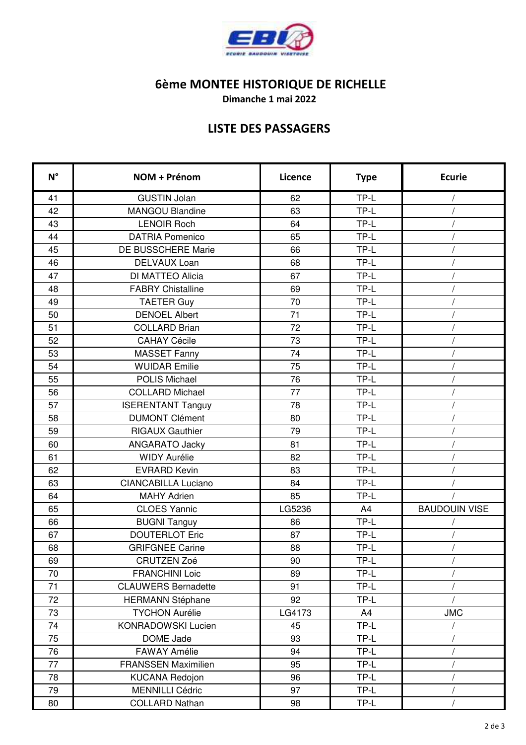

**Dimanche 1 mai 2022**

## **LISTE DES PASSAGERS**

| $N^{\circ}$ | NOM + Prénom               | Licence | <b>Type</b> | <b>Ecurie</b>        |
|-------------|----------------------------|---------|-------------|----------------------|
| 41          | <b>GUSTIN Jolan</b>        | 62      | TP-L        |                      |
| 42          | <b>MANGOU Blandine</b>     | 63      | TP-L        |                      |
| 43          | <b>LENOIR Roch</b>         | 64      | TP-L        |                      |
| 44          | <b>DATRIA Pomenico</b>     | 65      | TP-L        |                      |
| 45          | DE BUSSCHERE Marie         | 66      | TP-L        |                      |
| 46          | <b>DELVAUX Loan</b>        | 68      | TP-L        |                      |
| 47          | DI MATTEO Alicia           | 67      | TP-L        |                      |
| 48          | <b>FABRY Chistalline</b>   | 69      | TP-L        |                      |
| 49          | <b>TAETER Guy</b>          | 70      | TP-L        |                      |
| 50          | <b>DENOEL Albert</b>       | 71      | TP-L        |                      |
| 51          | <b>COLLARD Brian</b>       | 72      | TP-L        |                      |
| 52          | <b>CAHAY Cécile</b>        | 73      | TP-L        |                      |
| 53          | <b>MASSET Fanny</b>        | 74      | TP-L        |                      |
| 54          | <b>WUIDAR Emilie</b>       | 75      | TP-L        |                      |
| 55          | <b>POLIS Michael</b>       | 76      | TP-L        |                      |
| 56          | <b>COLLARD Michael</b>     | 77      | TP-L        |                      |
| 57          | <b>ISERENTANT Tanguy</b>   | 78      | TP-L        |                      |
| 58          | <b>DUMONT Clément</b>      | 80      | TP-L        |                      |
| 59          | <b>RIGAUX Gauthier</b>     | 79      | TP-L        |                      |
| 60          | ANGARATO Jacky             | 81      | TP-L        |                      |
| 61          | <b>WIDY Aurélie</b>        | 82      | TP-L        |                      |
| 62          | <b>EVRARD Kevin</b>        | 83      | TP-L        |                      |
| 63          | <b>CIANCABILLA Luciano</b> | 84      | TP-L        |                      |
| 64          | <b>MAHY Adrien</b>         | 85      | TP-L        |                      |
| 65          | <b>CLOES Yannic</b>        | LG5236  | A4          | <b>BAUDOUIN VISE</b> |
| 66          | <b>BUGNI Tanguy</b>        | 86      | TP-L        |                      |
| 67          | <b>DOUTERLOT Eric</b>      | 87      | TP-L        | $\prime$             |
| 68          | <b>GRIFGNEE Carine</b>     | 88      | TP-L        |                      |
| 69          | <b>CRUTZEN Zoé</b>         | 90      | TP-L        |                      |
| 70          | <b>FRANCHINI Loic</b>      | 89      | TP-L        |                      |
| 71          | <b>CLAUWERS Bernadette</b> | 91      | TP-L        |                      |
| 72          | <b>HERMANN Stéphane</b>    | 92      | TP-L        |                      |
| 73          | <b>TYCHON Aurélie</b>      | LG4173  | A4          | <b>JMC</b>           |
| 74          | KONRADOWSKI Lucien         | 45      | TP-L        |                      |
| 75          | DOME Jade                  | 93      | TP-L        |                      |
| 76          | <b>FAWAY Amélie</b>        | 94      | TP-L        |                      |
| 77          | <b>FRANSSEN Maximilien</b> | 95      | TP-L        |                      |
| 78          | <b>KUCANA Redojon</b>      | 96      | TP-L        |                      |
| 79          | <b>MENNILLI Cédric</b>     | 97      | TP-L        | $\prime$             |
| 80          | <b>COLLARD Nathan</b>      | 98      | TP-L        |                      |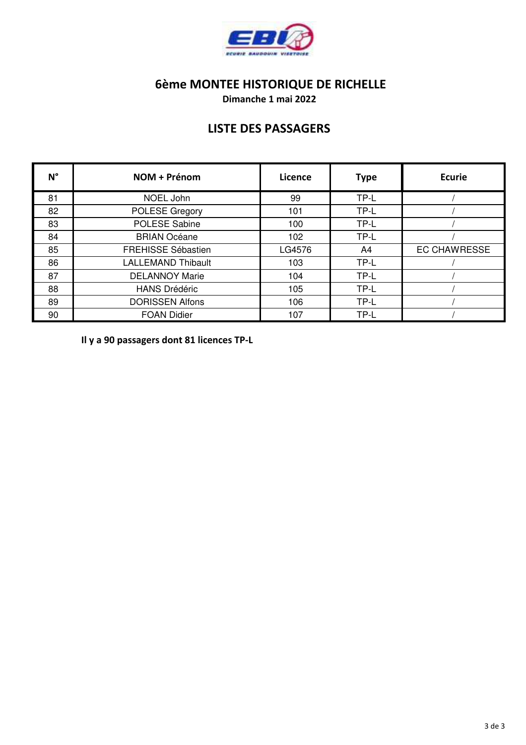

**Dimanche 1 mai 2022**

## **LISTE DES PASSAGERS**

| $N^{\circ}$ | NOM + Prénom              | Licence | <b>Type</b> | <b>Ecurie</b>       |
|-------------|---------------------------|---------|-------------|---------------------|
| 81          | NOEL John                 | 99      | TP-L        |                     |
| 82          | POLESE Gregory            | 101     | TP-L        |                     |
| 83          | POLESE Sabine             | 100     | TP-L        |                     |
| 84          | <b>BRIAN Océane</b>       | 102     | TP-L        |                     |
| 85          | <b>FREHISSE Sébastien</b> | LG4576  | A4          | <b>EC CHAWRESSE</b> |
| 86          | <b>LALLEMAND Thibault</b> | 103     | TP-L        |                     |
| 87          | <b>DELANNOY Marie</b>     | 104     | TP-L        |                     |
| 88          | <b>HANS Drédéric</b>      | 105     | TP-L        |                     |
| 89          | <b>DORISSEN Alfons</b>    | 106     | TP-L        |                     |
| 90          | <b>FOAN Didier</b>        | 107     | TP-L        |                     |

**Il y a 90 passagers dont 81 licences TP-L**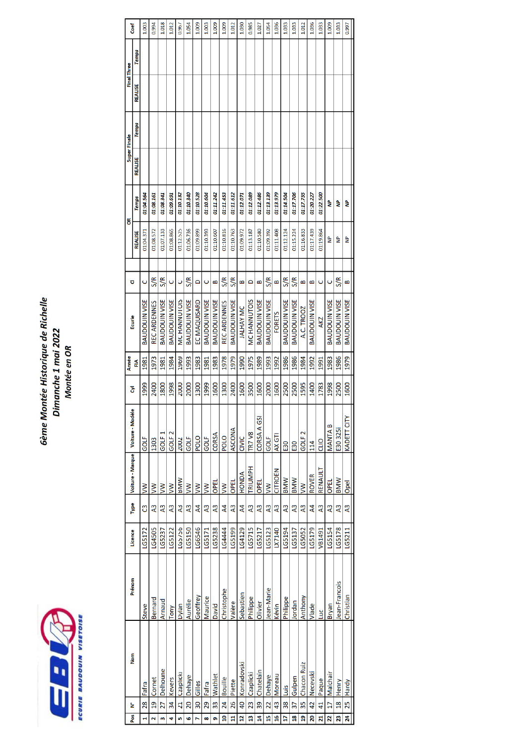

# Gème Montée Historique de Richelle Dimanche 1 mai 2022<br>Montée en OR

| Cocf                |                | 1.003                | 0.994               | 1.018                | 1.012                | 0.967           | 1.054                | 1.009           | 1.003                | 1.009                | 1.009          | 1.012                | 1.030            | 0.985                   | 1.027                | 1.054                | 1.036                   | 1.033                | 1.033                | 1.012             | 1.036                | 1.033           | 1.009                | 1.033                | 0.997                |
|---------------------|----------------|----------------------|---------------------|----------------------|----------------------|-----------------|----------------------|-----------------|----------------------|----------------------|----------------|----------------------|------------------|-------------------------|----------------------|----------------------|-------------------------|----------------------|----------------------|-------------------|----------------------|-----------------|----------------------|----------------------|----------------------|
|                     | <b>Temps</b>   |                      |                     |                      |                      |                 |                      |                 |                      |                      |                |                      |                  |                         |                      |                      |                         |                      |                      |                   |                      |                 |                      |                      |                      |
| Final Inree         | REALISE        |                      |                     |                      |                      |                 |                      |                 |                      |                      |                |                      |                  |                         |                      |                      |                         |                      |                      |                   |                      |                 |                      |                      |                      |
|                     | <b>Temps</b>   |                      |                     |                      |                      |                 |                      |                 |                      |                      |                |                      |                  |                         |                      |                      |                         |                      |                      |                   |                      |                 |                      |                      |                      |
| super <b>Hinale</b> | REALISE        |                      |                     |                      |                      |                 |                      |                 |                      |                      |                |                      |                  |                         |                      |                      |                         |                      |                      |                   |                      |                 |                      |                      |                      |
| š                   | <b>Temps</b>   | 01:04.564            | 01:08.161           | 01:08.341            | 01:09.691            | 01:10.132       | 01:10.340            | 01:10.528       | 01:10.604            | 01:11.242            | 01:11.453      | 01:11.612            | 01:12.071        | 01:12.089               | 01:12.486            | 01:13.139            | 01:13.979               | 01:14.504            | 01:17.706            | 01:17.755         | 01:20.227            | 01:22.500       | ۵                    | डे                   | ₹                    |
|                     | <b>REALISE</b> | 01:04.371            | 01:08.572           | 01:07.133            | 01:08.865            | 01:12.525       | 01:06.736            | 01:09.899       | 01:10.393            | 01:10.607            | 01:10.816      | 01:10.763            | 01:09.972        | 01:13.187               | 01:10.580            | 01:09.392            | 01:11.408               | 01:12.124            | 01:15.224            | 01:16.833         | 01:17.439            | 01:19.864       | ٩                    | g                    | g                    |
|                     |                |                      |                     |                      |                      |                 |                      |                 |                      |                      |                |                      |                  |                         |                      |                      |                         |                      |                      |                   |                      |                 |                      |                      |                      |
| ō                   |                | O                    | S/R                 | S/R                  | Ō                    | Ō               | S/R                  | Δ               | Ō                    | B                    | S/R            | S/R                  | B                | $\Omega$                | $\mathbf{a}$         | S/R                  | B                       | S/R                  | S/R                  | B                 | B                    | ں               | ں                    | S/R                  | B                    |
| Ecurie              |                | <b>BAUDOUIN VISE</b> | <b>REC ARDENNES</b> | <b>BAUDOUIN VISE</b> | <b>BAUDOUIN VISE</b> | MC HANNUTOIS    | <b>BAUDOUIN VISE</b> | EC MAQUISARD    | <b>BAUDOUIN VISE</b> | <b>BAUDOUIN VISE</b> | REC ARDENNES   | <b>BAUDOUIN VISE</b> | <b>JALHAY MC</b> | MC HANNUTOIS            | <b>BAUDOUIN VISE</b> | <b>BAUDOUIN VISE</b> | <b>FORETS</b>           | <b>BAUDOUIN VISE</b> | <b>BAUDOUIN VISE</b> | A.C. TROOZ        | <b>BAUDOUIN VISE</b> | <b>AKZ</b>      | <b>BAUDOUIN VISE</b> | <b>BAUDOUIN VISE</b> | <b>BAUDOUIN VISE</b> |
| Annee               | E              | 1981                 | 1973                | 1981                 | 1984                 | 1969            | 1993                 | 1983            | 1981                 | 1983                 | 1978           | 1979                 | 1990             | 1975                    | 1989                 | 1993                 | 1992                    | 1986                 | 1986                 | 1984              | 1992                 | 1991            | 1983                 | 1986                 | 1979                 |
| $\overline{\delta}$ |                | 1999                 | 2400                | 1800                 | 1998                 | 2000            | 2000                 | 1300            | 1999                 | 1600                 | 1300           | 2400                 | 1600             | 3500                    | 1600                 | 2000                 | 1600                    | 2500                 | 2500                 | 1595              | 1400                 | 1783            | 1998                 | 2500                 | 1600                 |
| Voiture Modèle      |                | GOLF                 | 1303                | GOLF <sub>1</sub>    | GOLF <sub>2</sub>    | 2002            | GOLF                 | <b>POLO</b>     | GOLF                 | CORSA                | <b>POLO</b>    | ASCONA               | CIVIC            | <b>TR7 V8</b>           | CORSA A GSI          | GOLF                 | AX GTI                  | <b>E30</b>           | E30                  | GOLF <sub>2</sub> | 114                  | OID             | <b>MANTAB</b>        | E30 325i             | KADETT CITY          |
| Voiture - Marque    |                | $\geq$               | $\geq$              | Š                    | $\geq$               | <b>MMN</b>      | $\geq$               | $\geq$          | $\geq$               | OPEL                 | $\geq$         | OPEL                 | <b>HONDA</b>     | <b>TRIUMPH</b>          | OPEL                 | $\geq$               | CITROËN                 | <b>BMW</b>           | <b>BMW</b>           | $\geq$            | <b>ROVER</b>         | RENAULT         | OPEL                 | <b>BMW</b>           | Opel                 |
| Type                |                | ෆී                   | A <sub>3</sub>      | A3                   | $\overline{A}$       | A3              | A <sup>3</sup>       | $\overline{A}$  | A <sub>3</sub>       | A <sub>3</sub>       | $\overline{A}$ | A <sub>3</sub>       | $\overline{A}$   | $\overline{A}3$         | A <sub>3</sub>       | $\overline{A}$       | A <sub>3</sub>          | $\overline{A}$       | $\overline{A}$       | A <sub>3</sub>    | $\overline{A}$       | $\overline{A}3$ | A <sub>3</sub>       | A <sub>3</sub>       | $\overline{A}3$      |
| Licence             |                | LG5172               | LG4505              | LG5237               | LG5122               | LG5756          | LG5150               | LG6546          | LG5171               | LG5238               | LG4444         | LG5199               | LG4129           | LG5715                  | LG5217               | LG5123               | LX7140                  | LG5194               | LG5137               | LG5052            | LG5179               | VB1491          | LG5154               | LG5178               | LG5211               |
| Prénom              |                | <b>Steve</b>         | Bernard             | Arnaud               | Tony                 | Dylan           | Aurélie              | Geoffrey        | Maurice              | David                | Christophe     | Valère               | Sebastien        | Philippe                | Olivier              | ean-Marie            | Kévin                   | Philippe             | Jordan               | Anthony           | Vlade                | ЦĽ              | Bryan                | lean-Francois        | Christian            |
| Nom                 |                | Fafra                | Cornet              | Delhoune             | Kevers               | Czaplicki       | <b>Dehaye</b>        | Gilles          | Fafra                | Wathlet              | <b>Bouille</b> | Piette               | Konradovski      | Czaplicki               | Chatelain            | Dehaye               | <b>Moreau</b>           | Luis                 | Gulpen               | Chacon Ruiz       | Necevski             | Paque           | Malchair             | Henry                | 25 Hardy             |
| ้≥                  |                | 28                   | $\overline{a}$      | 27                   | $\overline{34}$      | $\overline{21}$ | $\overline{5}$       | $\overline{30}$ | 29                   | 33                   | 24             | 26                   | $\overline{a}$   | 23                      | 39                   | $\overline{22}$      | 43                      | 38                   | 37                   | 35                | 42                   | $\overline{4}$  | $\overline{17}$      | $\frac{8}{2}$        |                      |
| Pos <sub>1</sub>    |                |                      |                     | m                    | 4                    | in,             | G                    |                 | œ                    | ō                    | g              | Ħ                    | ă                | $\overline{\mathbf{a}}$ | $\overline{a}$       | g                    | $\overline{\mathbf{a}}$ | H                    | $\overline{a}$       | គ្ន               | 20                   | N               | 22                   | 23                   | $\overline{24}$      |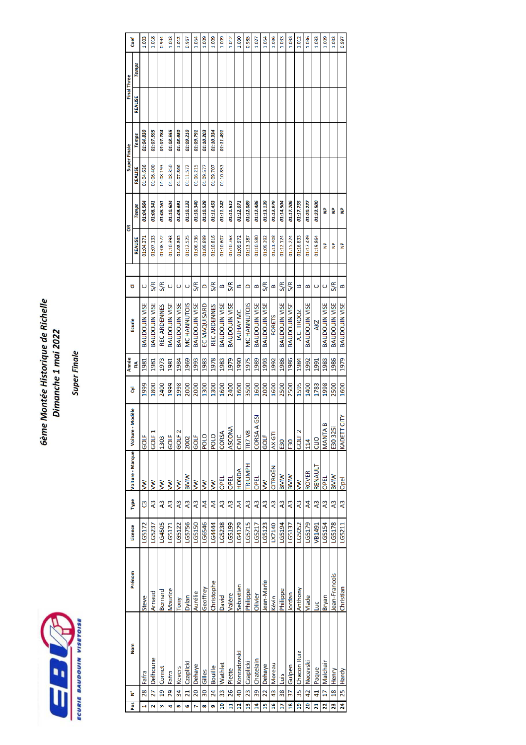

# Gème Montée Historique de Richelle Dimanche 1 mai 2022

**Super Finale** 

|                          | Coef           | 1.003                | 1.018                | 0.994               | 1.003                | 1.012                | 0.967              | 1.054                | 1.009               | 1.009           | 1.009                | 1.012                | 1.030          | 0.985          | 1.027                     | 1.054                | 1.036          | 1.033                | 1.033                | 1.012              | 1.036                | 1.033          | 1.009                | 1.033                | 0.997                |
|--------------------------|----------------|----------------------|----------------------|---------------------|----------------------|----------------------|--------------------|----------------------|---------------------|-----------------|----------------------|----------------------|----------------|----------------|---------------------------|----------------------|----------------|----------------------|----------------------|--------------------|----------------------|----------------|----------------------|----------------------|----------------------|
|                          | <b>Temps</b>   |                      |                      |                     |                      |                      |                    |                      |                     |                 |                      |                      |                |                |                           |                      |                |                      |                      |                    |                      |                |                      |                      |                      |
| <b>Final Three</b>       | <b>REALISE</b> |                      |                      |                     |                      |                      |                    |                      |                     |                 |                      |                      |                |                |                           |                      |                |                      |                      |                    |                      |                |                      |                      |                      |
|                          | <b>Temps</b>   | 01:04.830            | 01:07.595            | 01:07.784           | 01:08.555            | 01:08.680            | 01:09.210          | 01:09.791            | 01:10.203           | 01:10.334       | 01:11.491            |                      |                |                |                           |                      |                |                      |                      |                    |                      |                |                      |                      |                      |
| Super Finale             | <b>REALISE</b> | 01:04.636            | 01:06.400            | 01:08.193           | 01:08.350            | 01:07.866            | 01:11.572          | 01:06.215            | 01:09.577           | 01:09.707       | 01:10.853            |                      |                |                |                           |                      |                |                      |                      |                    |                      |                |                      |                      |                      |
|                          | <b>Temps</b>   | 01:04.564            | 01:08.341            | 01:08.161           | 01:10.604            | 01:09.691            | 01:10.132          | 01:10.340            | 01:10.528           | 01:11.453       | 01:11.242            | 01:11.612            | 01:12.071      | 01:12.089      | 01:12.486                 | 01:13.139            | 01:13.979      | 01:14.504            | 01:17.706            | 01:17.755          | 01:20.227            | 01:22.500      | ٩                    | Ş                    | Ş                    |
| õ                        | <b>REALISE</b> | 01:04.371            | 01:07.133            | 01:08.572           | 01:10.393            | 01:08.865            | 01:12.525          | 01:06.736            | 01:09.899           | 01:10.816       | 01:10.607            | 01:10.763            | 01:09.972      | 01:13.187      | 01:10.580                 | 01:09.392            | 01:11.408      | 01:12.124            | 01:15.224            | 01:16.833          | 01:17.439            | 01:19.864      | g                    | 을                    | å                    |
|                          |                |                      |                      |                     |                      |                      |                    |                      |                     |                 |                      |                      |                |                |                           |                      |                |                      |                      |                    |                      |                |                      |                      |                      |
| ರ                        |                | $\mathsf{C}$         | S/R                  | S/R                 | Ō                    | $\mathsf{C}$         | Ō                  | <b>S/R</b>           | $\Box$              | <b>S/R</b>      | B                    | <b>S/R</b>           | B              | $\Box$         | œ                         | S/R                  | œ              | <b>S/R</b>           | S/R                  | B                  | œ                    | Ō              | Ō                    | S/R                  | ≃                    |
| Ecurie                   |                | <b>BAUDOUIN VISE</b> | <b>BAUDOUIN VISE</b> | <b>REC ARDENNES</b> | <b>BAUDOUIN VISE</b> | <b>BAUDOUIN VISE</b> | <b>MCHANNUTOIS</b> | <b>BAUDOUIN VISE</b> | <b>EC MAQUISARD</b> | REC ARDENNES    | <b>BAUDOUIN VISE</b> | <b>BAUDOUIN VISE</b> | JALHAY MC      | MC HANNUTOIS   | BAUDOUIN VISE             | <b>BAUDOUIN VISE</b> | <b>FORETS</b>  | <b>BAUDOUIN VISE</b> | <b>BAUDOUIN VISE</b> | A.C. TROOZ         | <b>BAUDOUIN VISE</b> | <b>AKZ</b>     | <b>BAUDOUIN VISE</b> | <b>BAUDOUIN VISE</b> | <b>BAUDOUIN VISE</b> |
| Année                    | 즫              | 1981                 | 1981                 | 1973                | 1981                 | 1984                 | 1969               | 1993                 | 1983                | 1978            | 1983                 | 1979                 | 1990           | 1975           | 1989                      | 1993                 | 1992           | 1986                 | 1986                 | 1984               | 1992                 | 1991           | 1983                 | 1986                 | 1979                 |
| ā                        |                | 1999                 | 1800                 | 2400                | 1999                 | 1998                 | 2000               | 2000                 | 1300                | 1300            | 1600                 | 2400                 | 1600           | 3500           | 1600                      | 2000                 | 1600           | 2500                 | 2500                 | 1595               | 1400                 | 1783           | 1998                 | 2500                 | 1600                 |
| Modèle                   |                | GOLF                 | GOLF <sub>1</sub>    | 1303                | GOLF                 | GOLF <sub>2</sub>    | 2002               | GOLF                 | <b>POLO</b>         | <b>POLO</b>     | CORSA                | <b>ASCON</b>         | CIVIC          | <b>TR7 V8</b>  | A <sub>GSI</sub><br>CORSA | GOLF                 | AX GTI         | <b>E30</b>           | <b>E30</b>           | GOLF <sub>2</sub>  | 114                  | CLIO           | B<br>MANTA           | E30325               | T CITY<br>KADETT     |
| Voiture - Marque Voiture |                | $\geq$               | $\geq$               | $\geq$              | $\geq$               | $\geq$               | <b>BMW</b>         | $\geq$               | $\geq$              | $\geq$          | OPEL                 | OPEL                 | <b>HONDA</b>   | TRIUMPH        | OPEL                      | $\geq$               | CITROËN        | <b>INNIN</b>         | <b>BMW</b>           | $\geq$             | <b>ROVER</b>         | RENAULT        | OPEL                 | <b>MWI</b>           | Opel                 |
| Type                     |                | უ                    | $\overline{A}$       | $\overline{A}$      | $\overline{A}$       | $\overline{A}$       | A <sub>3</sub>     | $\overline{A}$       | $\overline{A}$      | $\overline{A}$  | $\overline{A}$       | A <sub>3</sub>       | $\overline{A}$ | A <sub>3</sub> | $\overline{A}3$           | $\overline{A}$       | A <sub>3</sub> | A <sub>3</sub>       | A <sub>3</sub>       | A <sub>3</sub>     | $\overline{A}$       | A <sub>3</sub> | $\overline{A}$       | A <sub>3</sub>       | $\overline{A}$ 3     |
| Licence                  |                | LG5172               | LG5237               | LG4505              | LG5171               | LG5122               | LG5756             | <b>LG5150</b>        | LG6546              | 164444          | LG5238               | LG5199               | LG4129         | LG5715         | LG5217                    | LG5123               | LX7140         | LG5194               | LG5137               | LG5052             | LG5179               | VB1491         | LG5154               | LG5178               | LG5211               |
| Prénom                   |                | <b>Steve</b>         | Arnaud               | Bernard             | Maurice              | Tony                 | Dylan              | Aurélie              | Geoffrey            | Christophe      | David                | Valère               | Sebastien      | Philippe       | Olivier                   | ean-Marie            | Kévin          | Philippe             | Iordan               | Anthony            | Vlade                | Luc            | <b>Bryan</b>         | ean-Francois         | Christian            |
| Nom                      |                | Fafra                | Delhoune             | Cornet              | Fafra                | Kevers               | 21 Czaplicki       | 20 Dehaye            | Gilles              | Bouille         | Wathlet              | Piette               | Konradovski    | Czaplicki      | Chatelain                 | 22 Dehaye            | Moreau         | Luis                 | 37 Gulpen            | <b>Chacon Ruiz</b> | Necevski             | Paque          | Malchai              | Henry                |                      |
| ้≥                       |                | 28                   | 27                   | $\frac{1}{9}$       | 29                   | $\frac{34}{5}$       |                    |                      | $\overline{30}$     | $\overline{24}$ | $\frac{33}{2}$       | 26                   | $\frac{1}{2}$  | 23             | 39                        |                      | $\frac{3}{4}$  | $\frac{8}{3}$        |                      | 35                 | 42                   | 41             | $\overline{17}$      | $\frac{8}{18}$       | 25 Hardy             |
| <b>Pos</b>               |                | H                    | N                    | m                   | 4                    | in,                  | G                  | N                    | œ                   | ō               | $\overline{a}$       | Ħ                    | $\overline{a}$ | 13             | 14                        | 15                   | 16             | $\overline{1}$       | 18                   | $\frac{9}{2}$      | 20                   | 21             | 22                   | 23                   | 24                   |